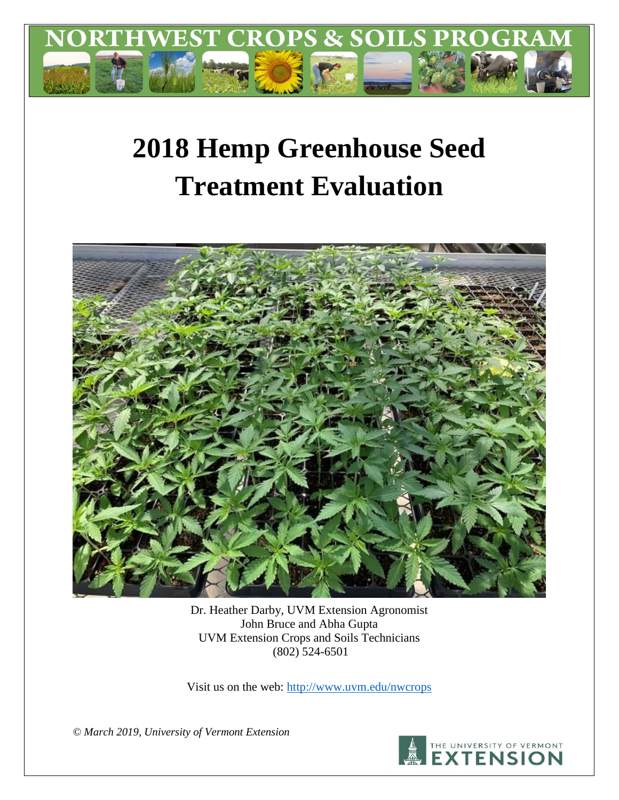

# **2018 Hemp Greenhouse Seed Treatment Evaluation**



Dr. Heather Darby, UVM Extension Agronomist John Bruce and Abha Gupta UVM Extension Crops and Soils Technicians (802) 524-6501

Visit us on the web:<http://www.uvm.edu/nwcrops>

*© March 2019, University of Vermont Extension*

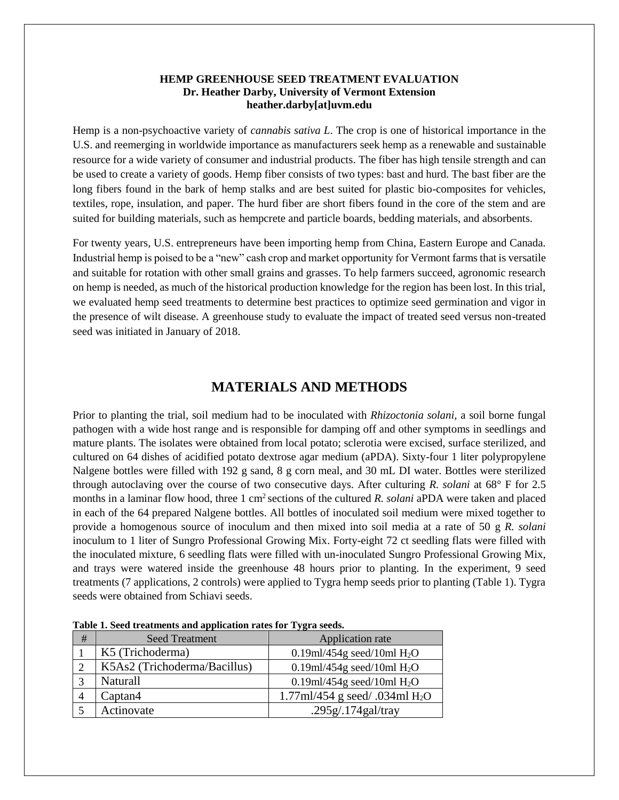#### **HEMP GREENHOUSE SEED TREATMENT EVALUATION Dr. Heather Darby, University of Vermont Extension heather.darby[at]uvm.edu**

Hemp is a non-psychoactive variety of *cannabis sativa L*. The crop is one of historical importance in the U.S. and reemerging in worldwide importance as manufacturers seek hemp as a renewable and sustainable resource for a wide variety of consumer and industrial products. The fiber has high tensile strength and can be used to create a variety of goods. Hemp fiber consists of two types: bast and hurd. The bast fiber are the long fibers found in the bark of hemp stalks and are best suited for plastic bio-composites for vehicles, textiles, rope, insulation, and paper. The hurd fiber are short fibers found in the core of the stem and are suited for building materials, such as hempcrete and particle boards, bedding materials, and absorbents.

For twenty years, U.S. entrepreneurs have been importing hemp from China, Eastern Europe and Canada. Industrial hemp is poised to be a "new" cash crop and market opportunity for Vermont farms that is versatile and suitable for rotation with other small grains and grasses. To help farmers succeed, agronomic research on hemp is needed, as much of the historical production knowledge for the region has been lost. In this trial, we evaluated hemp seed treatments to determine best practices to optimize seed germination and vigor in the presence of wilt disease. A greenhouse study to evaluate the impact of treated seed versus non-treated seed was initiated in January of 2018.

## **MATERIALS AND METHODS**

Prior to planting the trial, soil medium had to be inoculated with *Rhizoctonia solani,* a soil borne fungal pathogen with a wide host range and is responsible for damping off and other symptoms in seedlings and mature plants. The isolates were obtained from local potato; sclerotia were excised, surface sterilized, and cultured on 64 dishes of acidified potato dextrose agar medium (aPDA). Sixty-four 1 liter polypropylene Nalgene bottles were filled with 192 g sand, 8 g corn meal, and 30 mL DI water. Bottles were sterilized through autoclaving over the course of two consecutive days. After culturing *R. solani* at 68° F for 2.5 months in a laminar flow hood, three 1 cm<sup>2</sup> sections of the cultured *R. solani* aPDA were taken and placed in each of the 64 prepared Nalgene bottles. All bottles of inoculated soil medium were mixed together to provide a homogenous source of inoculum and then mixed into soil media at a rate of 50 g *R. solani*  inoculum to 1 liter of Sungro Professional Growing Mix. Forty-eight 72 ct seedling flats were filled with the inoculated mixture, 6 seedling flats were filled with un-inoculated Sungro Professional Growing Mix, and trays were watered inside the greenhouse 48 hours prior to planting. In the experiment, 9 seed treatments (7 applications, 2 controls) were applied to Tygra hemp seeds prior to planting (Table 1). Tygra seeds were obtained from Schiavi seeds.

| <b>Seed Treatment</b>        | Application rate                 |  |  |
|------------------------------|----------------------------------|--|--|
| K5 (Trichoderma)             | 0.19ml/454g seed/10ml $H_2O$     |  |  |
| K5As2 (Trichoderma/Bacillus) | 0.19ml/454g seed/10ml $H_2O$     |  |  |
| Naturall                     | 0.19ml/454g seed/10ml $H_2O$     |  |  |
| Captan4                      | 1.77ml/454 g seed/ .034ml $H_2O$ |  |  |
| Actinovate                   | .295g/.174gal/tray               |  |  |
|                              |                                  |  |  |

**Table 1. Seed treatments and application rates for Tygra seeds.**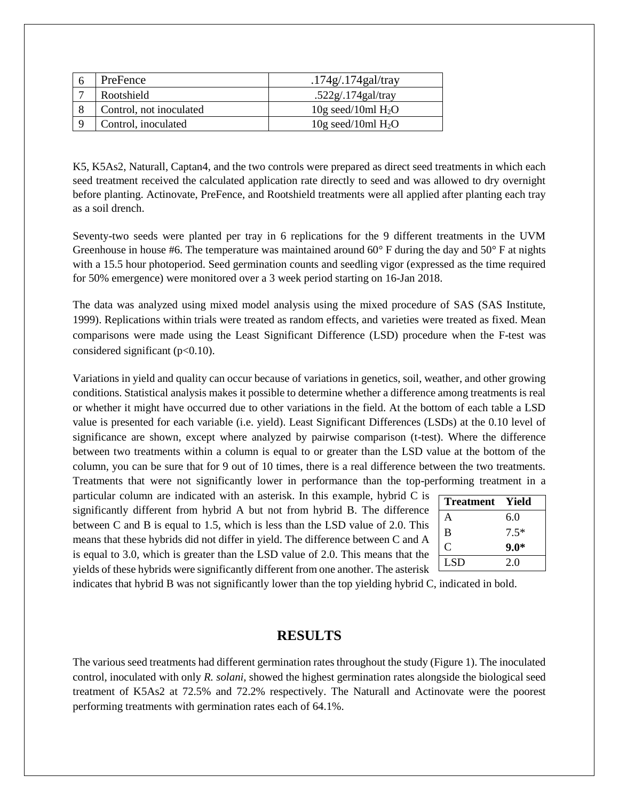| PreFence                | $.174g/.174g$ al/tray  |
|-------------------------|------------------------|
| Rootshield              | .522g/.174gal/tray     |
| Control, not inoculated | $10g$ seed/10ml $H_2O$ |
| Control, inoculated     | $10g$ seed/10ml $H_2O$ |

K5, K5As2, Naturall, Captan4, and the two controls were prepared as direct seed treatments in which each seed treatment received the calculated application rate directly to seed and was allowed to dry overnight before planting. Actinovate, PreFence, and Rootshield treatments were all applied after planting each tray as a soil drench.

Seventy-two seeds were planted per tray in 6 replications for the 9 different treatments in the UVM Greenhouse in house #6. The temperature was maintained around  $60^{\circ}$  F during the day and  $50^{\circ}$  F at nights with a 15.5 hour photoperiod. Seed germination counts and seedling vigor (expressed as the time required for 50% emergence) were monitored over a 3 week period starting on 16-Jan 2018.

The data was analyzed using mixed model analysis using the mixed procedure of SAS (SAS Institute, 1999). Replications within trials were treated as random effects, and varieties were treated as fixed. Mean comparisons were made using the Least Significant Difference (LSD) procedure when the F-test was considered significant ( $p<0.10$ ).

Variations in yield and quality can occur because of variations in genetics, soil, weather, and other growing conditions. Statistical analysis makes it possible to determine whether a difference among treatments is real or whether it might have occurred due to other variations in the field. At the bottom of each table a LSD value is presented for each variable (i.e. yield). Least Significant Differences (LSDs) at the 0.10 level of significance are shown, except where analyzed by pairwise comparison (t-test). Where the difference between two treatments within a column is equal to or greater than the LSD value at the bottom of the column, you can be sure that for 9 out of 10 times, there is a real difference between the two treatments. Treatments that were not significantly lower in performance than the top-performing treatment in a

particular column are indicated with an asterisk. In this example, hybrid C is significantly different from hybrid A but not from hybrid B. The difference between C and B is equal to 1.5, which is less than the LSD value of 2.0. This means that these hybrids did not differ in yield. The difference between C and A is equal to 3.0, which is greater than the LSD value of 2.0. This means that the yields of these hybrids were significantly different from one another. The asterisk

| <b>Treatment</b> | - Yield |
|------------------|---------|
| A                | 6.0     |
| B                | $7.5*$  |
| C                | $9.0*$  |
| <b>LSD</b>       | 2.0     |

indicates that hybrid B was not significantly lower than the top yielding hybrid C, indicated in bold.

#### **RESULTS**

The various seed treatments had different germination rates throughout the study (Figure 1). The inoculated control, inoculated with only *R. solani,* showed the highest germination rates alongside the biological seed treatment of K5As2 at 72.5% and 72.2% respectively. The Naturall and Actinovate were the poorest performing treatments with germination rates each of 64.1%.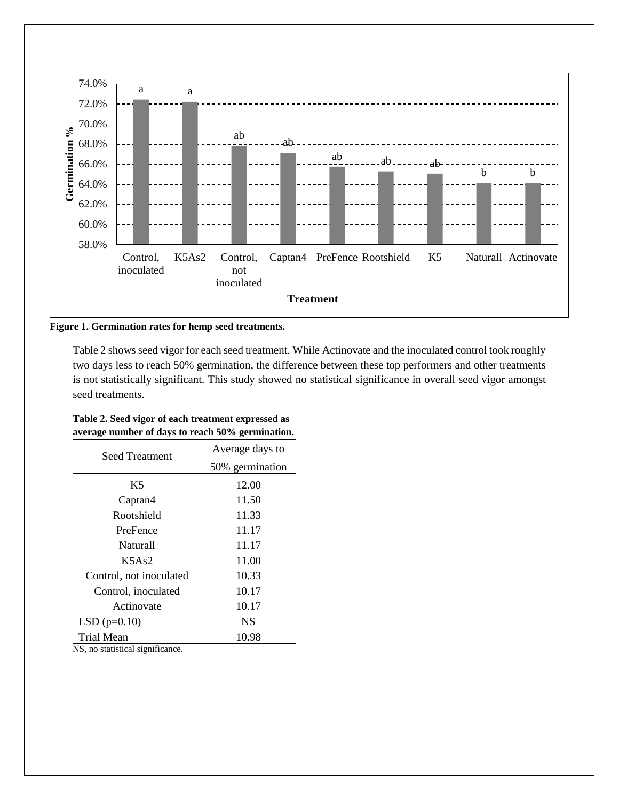

**Figure 1. Germination rates for hemp seed treatments.** 

Table 2 shows seed vigor for each seed treatment. While Actinovate and the inoculated control took roughly two days less to reach 50% germination, the difference between these top performers and other treatments is not statistically significant. This study showed no statistical significance in overall seed vigor amongst seed treatments.

| Table 2. Seed vigor of each treatment expressed as |  |
|----------------------------------------------------|--|
| average number of days to reach 50% germination.   |  |

| <b>Seed Treatment</b>   | Average days to |
|-------------------------|-----------------|
|                         | 50% germination |
| K5                      | 12.00           |
| Captan4                 | 11.50           |
| Rootshield              | 11.33           |
| PreFence                | 11.17           |
| Naturall                | 11.17           |
| K5As2                   | 11.00           |
| Control, not inoculated | 10.33           |
| Control, inoculated     | 10.17           |
| Actinovate              | 10.17           |
| $LSD(p=0.10)$           | <b>NS</b>       |
| Trial Mean              | 10.98           |

NS, no statistical significance.